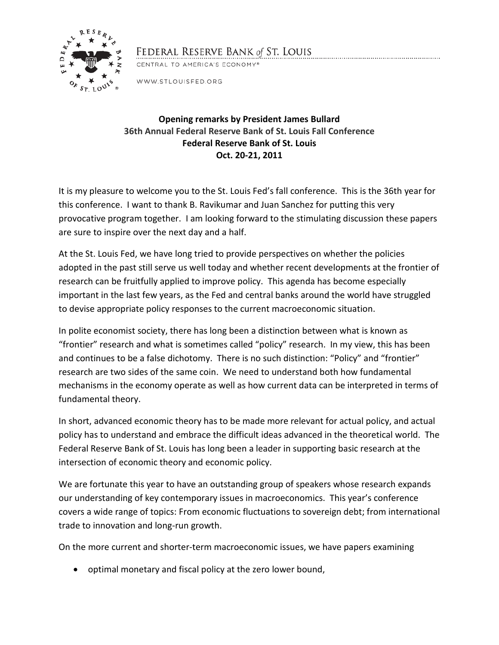

## FEDERAL RESERVE BANK of ST. LOUIS

CENTRAL TO AMERICA'S ECONOMY®

WWW.STLOUISFED.ORG

## **Opening remarks by President James Bullard 36th Annual Federal Reserve Bank of St. Louis Fall Conference Federal Reserve Bank of St. Louis Oct. 20-21, 2011**

It is my pleasure to welcome you to the St. Louis Fed's fall conference. This is the 36th year for this conference. I want to thank B. Ravikumar and Juan Sanchez for putting this very provocative program together. I am looking forward to the stimulating discussion these papers are sure to inspire over the next day and a half.

At the St. Louis Fed, we have long tried to provide perspectives on whether the policies adopted in the past still serve us well today and whether recent developments at the frontier of research can be fruitfully applied to improve policy. This agenda has become especially important in the last few years, as the Fed and central banks around the world have struggled to devise appropriate policy responses to the current macroeconomic situation.

In polite economist society, there has long been a distinction between what is known as "frontier" research and what is sometimes called "policy" research. In my view, this has been and continues to be a false dichotomy. There is no such distinction: "Policy" and "frontier" research are two sides of the same coin. We need to understand both how fundamental mechanisms in the economy operate as well as how current data can be interpreted in terms of fundamental theory.

In short, advanced economic theory has to be made more relevant for actual policy, and actual policy has to understand and embrace the difficult ideas advanced in the theoretical world. The Federal Reserve Bank of St. Louis has long been a leader in supporting basic research at the intersection of economic theory and economic policy.

We are fortunate this year to have an outstanding group of speakers whose research expands our understanding of key contemporary issues in macroeconomics. This year's conference covers a wide range of topics: From economic fluctuations to sovereign debt; from international trade to innovation and long-run growth.

On the more current and shorter-term macroeconomic issues, we have papers examining

• optimal monetary and fiscal policy at the zero lower bound,